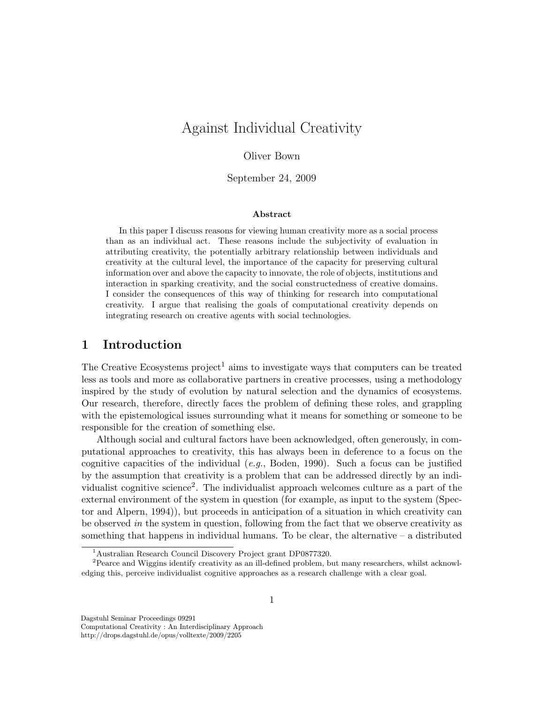# Against Individual Creativity

### Oliver Bown

September 24, 2009

#### Abstract

In this paper I discuss reasons for viewing human creativity more as a social process than as an individual act. These reasons include the subjectivity of evaluation in attributing creativity, the potentially arbitrary relationship between individuals and creativity at the cultural level, the importance of the capacity for preserving cultural information over and above the capacity to innovate, the role of objects, institutions and interaction in sparking creativity, and the social constructedness of creative domains. I consider the consequences of this way of thinking for research into computational creativity. I argue that realising the goals of computational creativity depends on integrating research on creative agents with social technologies.

## 1 Introduction

The Creative Ecosystems project<sup>1</sup> aims to investigate ways that computers can be treated less as tools and more as collaborative partners in creative processes, using a methodology inspired by the study of evolution by natural selection and the dynamics of ecosystems. Our research, therefore, directly faces the problem of defining these roles, and grappling with the epistemological issues surrounding what it means for something or someone to be responsible for the creation of something else.

Although social and cultural factors have been acknowledged, often generously, in computational approaches to creativity, this has always been in deference to a focus on the cognitive capacities of the individual  $(e.g., Boden, 1990)$ . Such a focus can be justified by the assumption that creativity is a problem that can be addressed directly by an individualist cognitive science<sup>2</sup>. The individualist approach welcomes culture as a part of the external environment of the system in question (for example, as input to the system (Spector and Alpern, 1994)), but proceeds in anticipation of a situation in which creativity can be observed in the system in question, following from the fact that we observe creativity as something that happens in individual humans. To be clear, the alternative  $-$  a distributed

Dagstuhl Seminar Proceedings 09291

<sup>1</sup>Australian Research Council Discovery Project grant DP0877320.

<sup>2</sup>Pearce and Wiggins identify creativity as an ill-defined problem, but many researchers, whilst acknowledging this, perceive individualist cognitive approaches as a research challenge with a clear goal.

Computational Creativity : An Interdisciplinary Approach http://drops.dagstuhl.de/opus/volltexte/2009/2205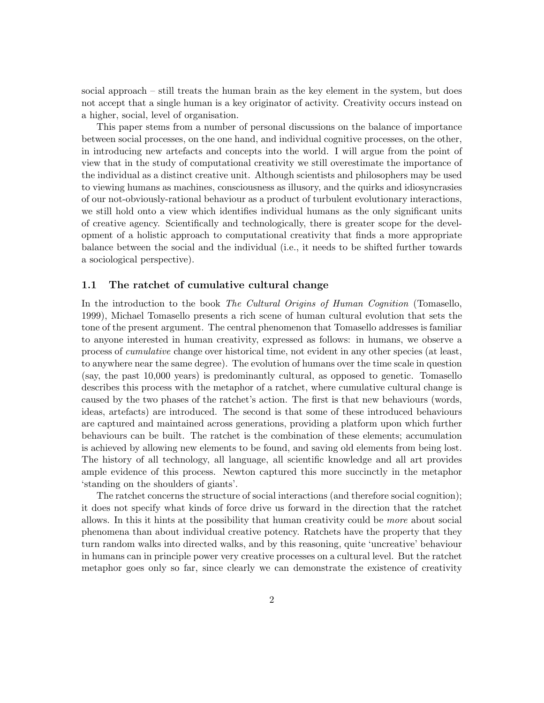social approach – still treats the human brain as the key element in the system, but does not accept that a single human is a key originator of activity. Creativity occurs instead on a higher, social, level of organisation.

This paper stems from a number of personal discussions on the balance of importance between social processes, on the one hand, and individual cognitive processes, on the other, in introducing new artefacts and concepts into the world. I will argue from the point of view that in the study of computational creativity we still overestimate the importance of the individual as a distinct creative unit. Although scientists and philosophers may be used to viewing humans as machines, consciousness as illusory, and the quirks and idiosyncrasies of our not-obviously-rational behaviour as a product of turbulent evolutionary interactions, we still hold onto a view which identifies individual humans as the only significant units of creative agency. Scientifically and technologically, there is greater scope for the development of a holistic approach to computational creativity that finds a more appropriate balance between the social and the individual (i.e., it needs to be shifted further towards a sociological perspective).

#### 1.1 The ratchet of cumulative cultural change

In the introduction to the book *The Cultural Origins of Human Cognition* (Tomasello, 1999), Michael Tomasello presents a rich scene of human cultural evolution that sets the tone of the present argument. The central phenomenon that Tomasello addresses is familiar to anyone interested in human creativity, expressed as follows: in humans, we observe a process of cumulative change over historical time, not evident in any other species (at least, to anywhere near the same degree). The evolution of humans over the time scale in question (say, the past 10,000 years) is predominantly cultural, as opposed to genetic. Tomasello describes this process with the metaphor of a ratchet, where cumulative cultural change is caused by the two phases of the ratchet's action. The first is that new behaviours (words, ideas, artefacts) are introduced. The second is that some of these introduced behaviours are captured and maintained across generations, providing a platform upon which further behaviours can be built. The ratchet is the combination of these elements; accumulation is achieved by allowing new elements to be found, and saving old elements from being lost. The history of all technology, all language, all scientific knowledge and all art provides ample evidence of this process. Newton captured this more succinctly in the metaphor 'standing on the shoulders of giants'.

The ratchet concerns the structure of social interactions (and therefore social cognition); it does not specify what kinds of force drive us forward in the direction that the ratchet allows. In this it hints at the possibility that human creativity could be more about social phenomena than about individual creative potency. Ratchets have the property that they turn random walks into directed walks, and by this reasoning, quite 'uncreative' behaviour in humans can in principle power very creative processes on a cultural level. But the ratchet metaphor goes only so far, since clearly we can demonstrate the existence of creativity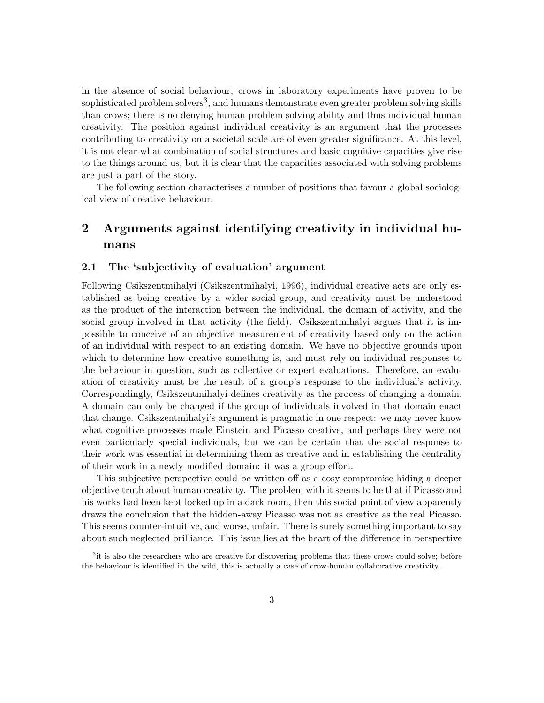in the absence of social behaviour; crows in laboratory experiments have proven to be sophisticated problem solvers<sup>3</sup>, and humans demonstrate even greater problem solving skills than crows; there is no denying human problem solving ability and thus individual human creativity. The position against individual creativity is an argument that the processes contributing to creativity on a societal scale are of even greater significance. At this level, it is not clear what combination of social structures and basic cognitive capacities give rise to the things around us, but it is clear that the capacities associated with solving problems are just a part of the story.

The following section characterises a number of positions that favour a global sociological view of creative behaviour.

## 2 Arguments against identifying creativity in individual humans

#### 2.1 The 'subjectivity of evaluation' argument

Following Csikszentmihalyi (Csikszentmihalyi, 1996), individual creative acts are only established as being creative by a wider social group, and creativity must be understood as the product of the interaction between the individual, the domain of activity, and the social group involved in that activity (the field). Csikszentmihalyi argues that it is impossible to conceive of an objective measurement of creativity based only on the action of an individual with respect to an existing domain. We have no objective grounds upon which to determine how creative something is, and must rely on individual responses to the behaviour in question, such as collective or expert evaluations. Therefore, an evaluation of creativity must be the result of a group's response to the individual's activity. Correspondingly, Csikszentmihalyi defines creativity as the process of changing a domain. A domain can only be changed if the group of individuals involved in that domain enact that change. Csikszentmihalyi's argument is pragmatic in one respect: we may never know what cognitive processes made Einstein and Picasso creative, and perhaps they were not even particularly special individuals, but we can be certain that the social response to their work was essential in determining them as creative and in establishing the centrality of their work in a newly modified domain: it was a group effort.

This subjective perspective could be written off as a cosy compromise hiding a deeper objective truth about human creativity. The problem with it seems to be that if Picasso and his works had been kept locked up in a dark room, then this social point of view apparently draws the conclusion that the hidden-away Picasso was not as creative as the real Picasso. This seems counter-intuitive, and worse, unfair. There is surely something important to say about such neglected brilliance. This issue lies at the heart of the difference in perspective

<sup>&</sup>lt;sup>3</sup>it is also the researchers who are creative for discovering problems that these crows could solve; before the behaviour is identified in the wild, this is actually a case of crow-human collaborative creativity.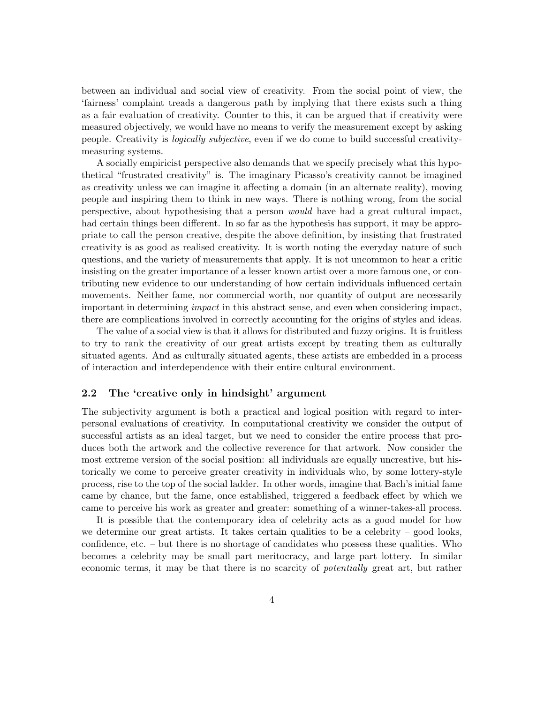between an individual and social view of creativity. From the social point of view, the 'fairness' complaint treads a dangerous path by implying that there exists such a thing as a fair evaluation of creativity. Counter to this, it can be argued that if creativity were measured objectively, we would have no means to verify the measurement except by asking people. Creativity is logically subjective, even if we do come to build successful creativitymeasuring systems.

A socially empiricist perspective also demands that we specify precisely what this hypothetical "frustrated creativity" is. The imaginary Picasso's creativity cannot be imagined as creativity unless we can imagine it affecting a domain (in an alternate reality), moving people and inspiring them to think in new ways. There is nothing wrong, from the social perspective, about hypothesising that a person would have had a great cultural impact, had certain things been different. In so far as the hypothesis has support, it may be appropriate to call the person creative, despite the above definition, by insisting that frustrated creativity is as good as realised creativity. It is worth noting the everyday nature of such questions, and the variety of measurements that apply. It is not uncommon to hear a critic insisting on the greater importance of a lesser known artist over a more famous one, or contributing new evidence to our understanding of how certain individuals influenced certain movements. Neither fame, nor commercial worth, nor quantity of output are necessarily important in determining impact in this abstract sense, and even when considering impact, there are complications involved in correctly accounting for the origins of styles and ideas.

The value of a social view is that it allows for distributed and fuzzy origins. It is fruitless to try to rank the creativity of our great artists except by treating them as culturally situated agents. And as culturally situated agents, these artists are embedded in a process of interaction and interdependence with their entire cultural environment.

#### 2.2 The 'creative only in hindsight' argument

The subjectivity argument is both a practical and logical position with regard to interpersonal evaluations of creativity. In computational creativity we consider the output of successful artists as an ideal target, but we need to consider the entire process that produces both the artwork and the collective reverence for that artwork. Now consider the most extreme version of the social position: all individuals are equally uncreative, but historically we come to perceive greater creativity in individuals who, by some lottery-style process, rise to the top of the social ladder. In other words, imagine that Bach's initial fame came by chance, but the fame, once established, triggered a feedback effect by which we came to perceive his work as greater and greater: something of a winner-takes-all process.

It is possible that the contemporary idea of celebrity acts as a good model for how we determine our great artists. It takes certain qualities to be a celebrity  $-$  good looks, confidence, etc. – but there is no shortage of candidates who possess these qualities. Who becomes a celebrity may be small part meritocracy, and large part lottery. In similar economic terms, it may be that there is no scarcity of potentially great art, but rather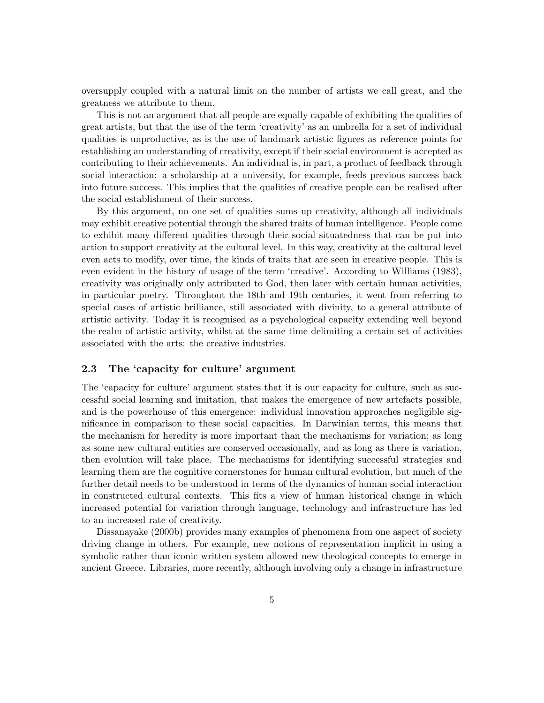oversupply coupled with a natural limit on the number of artists we call great, and the greatness we attribute to them.

This is not an argument that all people are equally capable of exhibiting the qualities of great artists, but that the use of the term 'creativity' as an umbrella for a set of individual qualities is unproductive, as is the use of landmark artistic figures as reference points for establishing an understanding of creativity, except if their social environment is accepted as contributing to their achievements. An individual is, in part, a product of feedback through social interaction: a scholarship at a university, for example, feeds previous success back into future success. This implies that the qualities of creative people can be realised after the social establishment of their success.

By this argument, no one set of qualities sums up creativity, although all individuals may exhibit creative potential through the shared traits of human intelligence. People come to exhibit many different qualities through their social situatedness that can be put into action to support creativity at the cultural level. In this way, creativity at the cultural level even acts to modify, over time, the kinds of traits that are seen in creative people. This is even evident in the history of usage of the term 'creative'. According to Williams (1983), creativity was originally only attributed to God, then later with certain human activities, in particular poetry. Throughout the 18th and 19th centuries, it went from referring to special cases of artistic brilliance, still associated with divinity, to a general attribute of artistic activity. Today it is recognised as a psychological capacity extending well beyond the realm of artistic activity, whilst at the same time delimiting a certain set of activities associated with the arts: the creative industries.

#### 2.3 The 'capacity for culture' argument

The 'capacity for culture' argument states that it is our capacity for culture, such as successful social learning and imitation, that makes the emergence of new artefacts possible, and is the powerhouse of this emergence: individual innovation approaches negligible significance in comparison to these social capacities. In Darwinian terms, this means that the mechanism for heredity is more important than the mechanisms for variation; as long as some new cultural entities are conserved occasionally, and as long as there is variation, then evolution will take place. The mechanisms for identifying successful strategies and learning them are the cognitive cornerstones for human cultural evolution, but much of the further detail needs to be understood in terms of the dynamics of human social interaction in constructed cultural contexts. This fits a view of human historical change in which increased potential for variation through language, technology and infrastructure has led to an increased rate of creativity.

Dissanayake (2000b) provides many examples of phenomena from one aspect of society driving change in others. For example, new notions of representation implicit in using a symbolic rather than iconic written system allowed new theological concepts to emerge in ancient Greece. Libraries, more recently, although involving only a change in infrastructure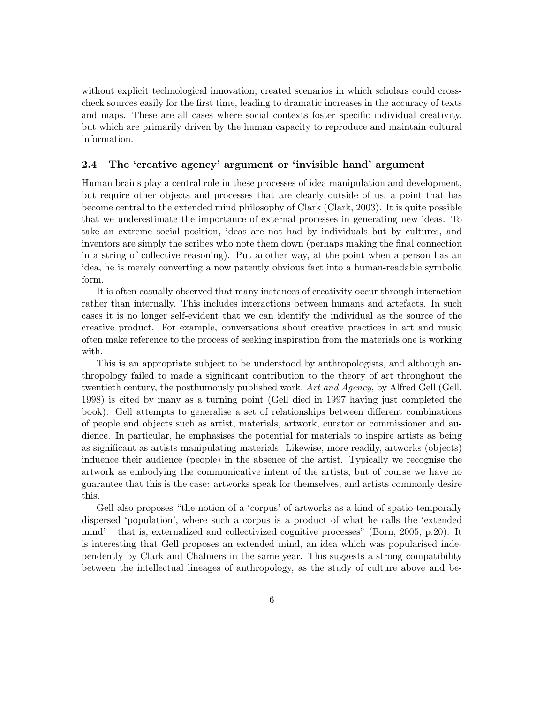without explicit technological innovation, created scenarios in which scholars could crosscheck sources easily for the first time, leading to dramatic increases in the accuracy of texts and maps. These are all cases where social contexts foster specific individual creativity, but which are primarily driven by the human capacity to reproduce and maintain cultural information.

#### 2.4 The 'creative agency' argument or 'invisible hand' argument

Human brains play a central role in these processes of idea manipulation and development, but require other objects and processes that are clearly outside of us, a point that has become central to the extended mind philosophy of Clark (Clark, 2003). It is quite possible that we underestimate the importance of external processes in generating new ideas. To take an extreme social position, ideas are not had by individuals but by cultures, and inventors are simply the scribes who note them down (perhaps making the final connection in a string of collective reasoning). Put another way, at the point when a person has an idea, he is merely converting a now patently obvious fact into a human-readable symbolic form.

It is often casually observed that many instances of creativity occur through interaction rather than internally. This includes interactions between humans and artefacts. In such cases it is no longer self-evident that we can identify the individual as the source of the creative product. For example, conversations about creative practices in art and music often make reference to the process of seeking inspiration from the materials one is working with.

This is an appropriate subject to be understood by anthropologists, and although anthropology failed to made a significant contribution to the theory of art throughout the twentieth century, the posthumously published work, Art and Agency, by Alfred Gell (Gell, 1998) is cited by many as a turning point (Gell died in 1997 having just completed the book). Gell attempts to generalise a set of relationships between different combinations of people and objects such as artist, materials, artwork, curator or commissioner and audience. In particular, he emphasises the potential for materials to inspire artists as being as significant as artists manipulating materials. Likewise, more readily, artworks (objects) influence their audience (people) in the absence of the artist. Typically we recognise the artwork as embodying the communicative intent of the artists, but of course we have no guarantee that this is the case: artworks speak for themselves, and artists commonly desire this.

Gell also proposes "the notion of a 'corpus' of artworks as a kind of spatio-temporally dispersed 'population', where such a corpus is a product of what he calls the 'extended mind' – that is, externalized and collectivized cognitive processes" (Born, 2005, p.20). It is interesting that Gell proposes an extended mind, an idea which was popularised independently by Clark and Chalmers in the same year. This suggests a strong compatibility between the intellectual lineages of anthropology, as the study of culture above and be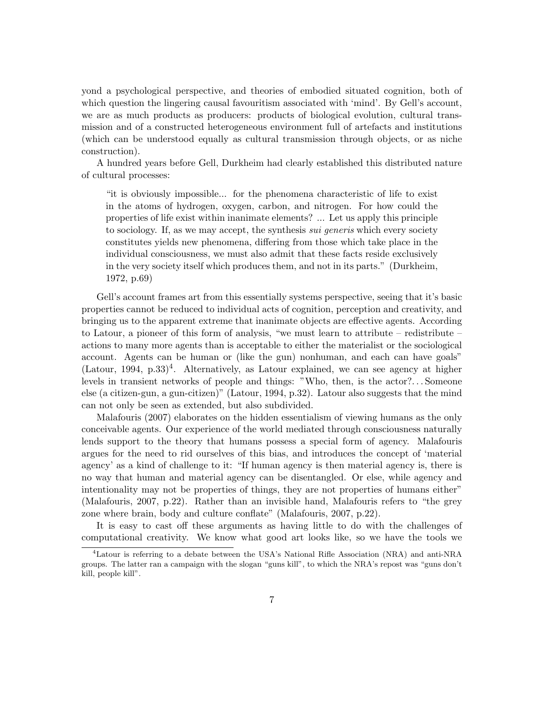yond a psychological perspective, and theories of embodied situated cognition, both of which question the lingering causal favouritism associated with 'mind'. By Gell's account, we are as much products as producers: products of biological evolution, cultural transmission and of a constructed heterogeneous environment full of artefacts and institutions (which can be understood equally as cultural transmission through objects, or as niche construction).

A hundred years before Gell, Durkheim had clearly established this distributed nature of cultural processes:

"it is obviously impossible... for the phenomena characteristic of life to exist in the atoms of hydrogen, oxygen, carbon, and nitrogen. For how could the properties of life exist within inanimate elements? ... Let us apply this principle to sociology. If, as we may accept, the synthesis sui generis which every society constitutes yields new phenomena, differing from those which take place in the individual consciousness, we must also admit that these facts reside exclusively in the very society itself which produces them, and not in its parts." (Durkheim, 1972, p.69)

Gell's account frames art from this essentially systems perspective, seeing that it's basic properties cannot be reduced to individual acts of cognition, perception and creativity, and bringing us to the apparent extreme that inanimate objects are effective agents. According to Latour, a pioneer of this form of analysis, "we must learn to attribute – redistribute – actions to many more agents than is acceptable to either the materialist or the sociological account. Agents can be human or (like the gun) nonhuman, and each can have goals"  $(Latour, 1994, p.33)<sup>4</sup>$ . Alternatively, as Latour explained, we can see agency at higher levels in transient networks of people and things: "Who, then, is the actor?. . . Someone else (a citizen-gun, a gun-citizen)" (Latour, 1994, p.32). Latour also suggests that the mind can not only be seen as extended, but also subdivided.

Malafouris (2007) elaborates on the hidden essentialism of viewing humans as the only conceivable agents. Our experience of the world mediated through consciousness naturally lends support to the theory that humans possess a special form of agency. Malafouris argues for the need to rid ourselves of this bias, and introduces the concept of 'material agency' as a kind of challenge to it: "If human agency is then material agency is, there is no way that human and material agency can be disentangled. Or else, while agency and intentionality may not be properties of things, they are not properties of humans either" (Malafouris, 2007, p.22). Rather than an invisible hand, Malafouris refers to "the grey zone where brain, body and culture conflate" (Malafouris, 2007, p.22).

It is easy to cast off these arguments as having little to do with the challenges of computational creativity. We know what good art looks like, so we have the tools we

<sup>4</sup>Latour is referring to a debate between the USA's National Rifle Association (NRA) and anti-NRA groups. The latter ran a campaign with the slogan "guns kill", to which the NRA's repost was "guns don't kill, people kill".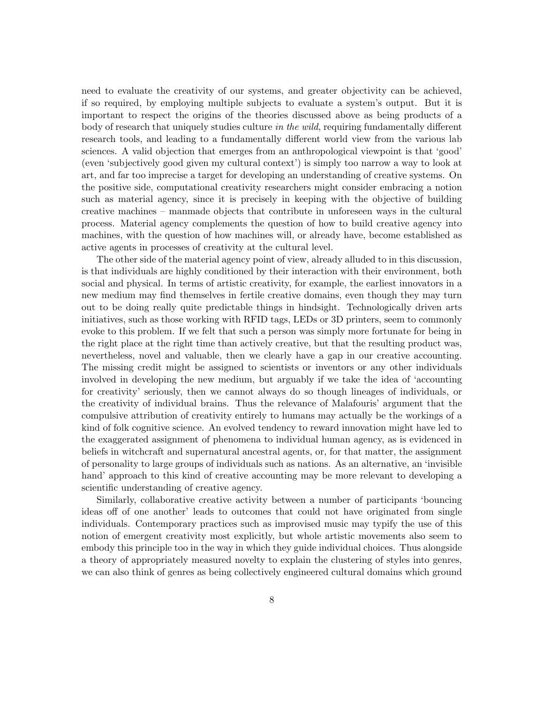need to evaluate the creativity of our systems, and greater objectivity can be achieved, if so required, by employing multiple subjects to evaluate a system's output. But it is important to respect the origins of the theories discussed above as being products of a body of research that uniquely studies culture in the wild, requiring fundamentally different research tools, and leading to a fundamentally different world view from the various lab sciences. A valid objection that emerges from an anthropological viewpoint is that 'good' (even 'subjectively good given my cultural context') is simply too narrow a way to look at art, and far too imprecise a target for developing an understanding of creative systems. On the positive side, computational creativity researchers might consider embracing a notion such as material agency, since it is precisely in keeping with the objective of building creative machines – manmade objects that contribute in unforeseen ways in the cultural process. Material agency complements the question of how to build creative agency into machines, with the question of how machines will, or already have, become established as active agents in processes of creativity at the cultural level.

The other side of the material agency point of view, already alluded to in this discussion, is that individuals are highly conditioned by their interaction with their environment, both social and physical. In terms of artistic creativity, for example, the earliest innovators in a new medium may find themselves in fertile creative domains, even though they may turn out to be doing really quite predictable things in hindsight. Technologically driven arts initiatives, such as those working with RFID tags, LEDs or 3D printers, seem to commonly evoke to this problem. If we felt that such a person was simply more fortunate for being in the right place at the right time than actively creative, but that the resulting product was, nevertheless, novel and valuable, then we clearly have a gap in our creative accounting. The missing credit might be assigned to scientists or inventors or any other individuals involved in developing the new medium, but arguably if we take the idea of 'accounting for creativity' seriously, then we cannot always do so though lineages of individuals, or the creativity of individual brains. Thus the relevance of Malafouris' argument that the compulsive attribution of creativity entirely to humans may actually be the workings of a kind of folk cognitive science. An evolved tendency to reward innovation might have led to the exaggerated assignment of phenomena to individual human agency, as is evidenced in beliefs in witchcraft and supernatural ancestral agents, or, for that matter, the assignment of personality to large groups of individuals such as nations. As an alternative, an 'invisible hand' approach to this kind of creative accounting may be more relevant to developing a scientific understanding of creative agency.

Similarly, collaborative creative activity between a number of participants 'bouncing ideas off of one another' leads to outcomes that could not have originated from single individuals. Contemporary practices such as improvised music may typify the use of this notion of emergent creativity most explicitly, but whole artistic movements also seem to embody this principle too in the way in which they guide individual choices. Thus alongside a theory of appropriately measured novelty to explain the clustering of styles into genres, we can also think of genres as being collectively engineered cultural domains which ground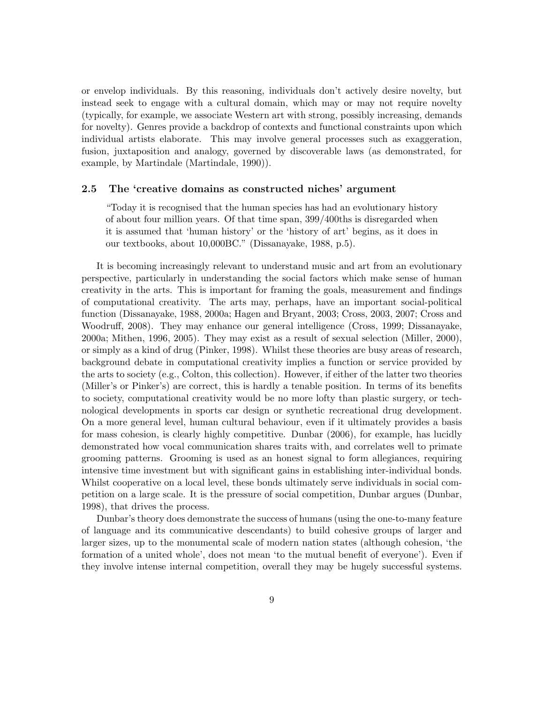or envelop individuals. By this reasoning, individuals don't actively desire novelty, but instead seek to engage with a cultural domain, which may or may not require novelty (typically, for example, we associate Western art with strong, possibly increasing, demands for novelty). Genres provide a backdrop of contexts and functional constraints upon which individual artists elaborate. This may involve general processes such as exaggeration, fusion, juxtaposition and analogy, governed by discoverable laws (as demonstrated, for example, by Martindale (Martindale, 1990)).

#### 2.5 The 'creative domains as constructed niches' argument

"Today it is recognised that the human species has had an evolutionary history of about four million years. Of that time span, 399/400ths is disregarded when it is assumed that 'human history' or the 'history of art' begins, as it does in our textbooks, about 10,000BC." (Dissanayake, 1988, p.5).

It is becoming increasingly relevant to understand music and art from an evolutionary perspective, particularly in understanding the social factors which make sense of human creativity in the arts. This is important for framing the goals, measurement and findings of computational creativity. The arts may, perhaps, have an important social-political function (Dissanayake, 1988, 2000a; Hagen and Bryant, 2003; Cross, 2003, 2007; Cross and Woodruff, 2008). They may enhance our general intelligence (Cross, 1999; Dissanayake, 2000a; Mithen, 1996, 2005). They may exist as a result of sexual selection (Miller, 2000), or simply as a kind of drug (Pinker, 1998). Whilst these theories are busy areas of research, background debate in computational creativity implies a function or service provided by the arts to society (e.g., Colton, this collection). However, if either of the latter two theories (Miller's or Pinker's) are correct, this is hardly a tenable position. In terms of its benefits to society, computational creativity would be no more lofty than plastic surgery, or technological developments in sports car design or synthetic recreational drug development. On a more general level, human cultural behaviour, even if it ultimately provides a basis for mass cohesion, is clearly highly competitive. Dunbar (2006), for example, has lucidly demonstrated how vocal communication shares traits with, and correlates well to primate grooming patterns. Grooming is used as an honest signal to form allegiances, requiring intensive time investment but with significant gains in establishing inter-individual bonds. Whilst cooperative on a local level, these bonds ultimately serve individuals in social competition on a large scale. It is the pressure of social competition, Dunbar argues (Dunbar, 1998), that drives the process.

Dunbar's theory does demonstrate the success of humans (using the one-to-many feature of language and its communicative descendants) to build cohesive groups of larger and larger sizes, up to the monumental scale of modern nation states (although cohesion, 'the formation of a united whole', does not mean 'to the mutual benefit of everyone'). Even if they involve intense internal competition, overall they may be hugely successful systems.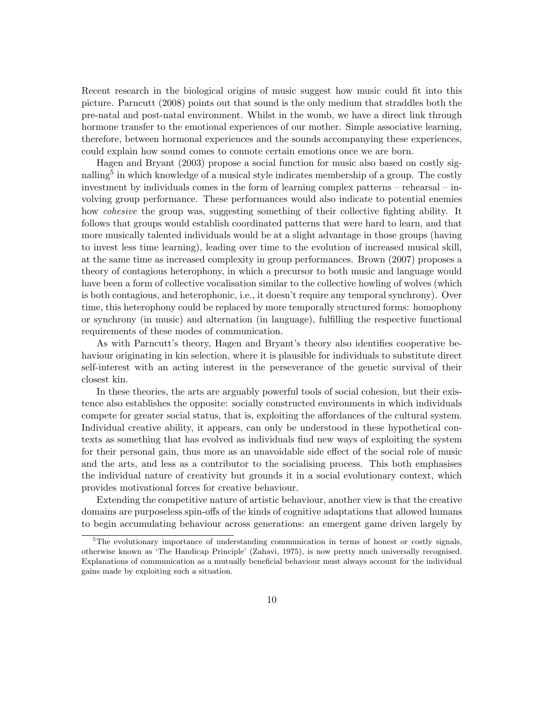Recent research in the biological origins of music suggest how music could fit into this picture. Parncutt (2008) points out that sound is the only medium that straddles both the pre-natal and post-natal environment. Whilst in the womb, we have a direct link through hormone transfer to the emotional experiences of our mother. Simple associative learning, therefore, between hormonal experiences and the sounds accompanying these experiences, could explain how sound comes to connote certain emotions once we are born.

Hagen and Bryant (2003) propose a social function for music also based on costly signalling<sup>5</sup> in which knowledge of a musical style indicates membership of a group. The costly investment by individuals comes in the form of learning complex patterns – rehearsal – involving group performance. These performances would also indicate to potential enemies how cohesive the group was, suggesting something of their collective fighting ability. It follows that groups would establish coordinated patterns that were hard to learn, and that more musically talented individuals would be at a slight advantage in those groups (having to invest less time learning), leading over time to the evolution of increased musical skill, at the same time as increased complexity in group performances. Brown (2007) proposes a theory of contagious heterophony, in which a precursor to both music and language would have been a form of collective vocalisation similar to the collective howling of wolves (which is both contagious, and heterophonic, i.e., it doesn't require any temporal synchrony). Over time, this heterophony could be replaced by more temporally structured forms: homophony or synchrony (in music) and alternation (in language), fulfilling the respective functional requirements of these modes of communication.

As with Parncutt's theory, Hagen and Bryant's theory also identifies cooperative behaviour originating in kin selection, where it is plausible for individuals to substitute direct self-interest with an acting interest in the perseverance of the genetic survival of their closest kin.

In these theories, the arts are arguably powerful tools of social cohesion, but their existence also establishes the opposite: socially constructed environments in which individuals compete for greater social status, that is, exploiting the affordances of the cultural system. Individual creative ability, it appears, can only be understood in these hypothetical contexts as something that has evolved as individuals find new ways of exploiting the system for their personal gain, thus more as an unavoidable side effect of the social role of music and the arts, and less as a contributor to the socialising process. This both emphasises the individual nature of creativity but grounds it in a social evolutionary context, which provides motivational forces for creative behaviour.

Extending the competitive nature of artistic behaviour, another view is that the creative domains are purposeless spin-offs of the kinds of cognitive adaptations that allowed humans to begin accumulating behaviour across generations: an emergent game driven largely by

<sup>&</sup>lt;sup>5</sup>The evolutionary importance of understanding communication in terms of honest or costly signals, otherwise known as 'The Handicap Principle' (Zahavi, 1975), is now pretty much universally recognised. Explanations of communication as a mutually beneficial behaviour must always account for the individual gains made by exploiting such a situation.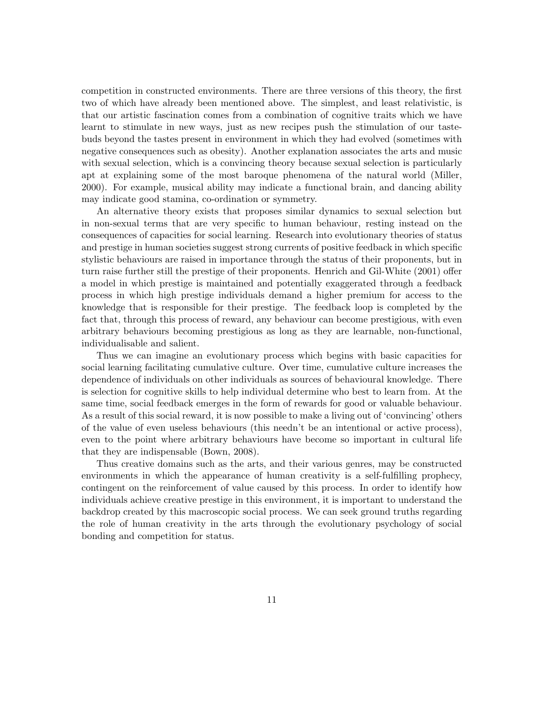competition in constructed environments. There are three versions of this theory, the first two of which have already been mentioned above. The simplest, and least relativistic, is that our artistic fascination comes from a combination of cognitive traits which we have learnt to stimulate in new ways, just as new recipes push the stimulation of our tastebuds beyond the tastes present in environment in which they had evolved (sometimes with negative consequences such as obesity). Another explanation associates the arts and music with sexual selection, which is a convincing theory because sexual selection is particularly apt at explaining some of the most baroque phenomena of the natural world (Miller, 2000). For example, musical ability may indicate a functional brain, and dancing ability may indicate good stamina, co-ordination or symmetry.

An alternative theory exists that proposes similar dynamics to sexual selection but in non-sexual terms that are very specific to human behaviour, resting instead on the consequences of capacities for social learning. Research into evolutionary theories of status and prestige in human societies suggest strong currents of positive feedback in which specific stylistic behaviours are raised in importance through the status of their proponents, but in turn raise further still the prestige of their proponents. Henrich and Gil-White (2001) offer a model in which prestige is maintained and potentially exaggerated through a feedback process in which high prestige individuals demand a higher premium for access to the knowledge that is responsible for their prestige. The feedback loop is completed by the fact that, through this process of reward, any behaviour can become prestigious, with even arbitrary behaviours becoming prestigious as long as they are learnable, non-functional, individualisable and salient.

Thus we can imagine an evolutionary process which begins with basic capacities for social learning facilitating cumulative culture. Over time, cumulative culture increases the dependence of individuals on other individuals as sources of behavioural knowledge. There is selection for cognitive skills to help individual determine who best to learn from. At the same time, social feedback emerges in the form of rewards for good or valuable behaviour. As a result of this social reward, it is now possible to make a living out of 'convincing' others of the value of even useless behaviours (this needn't be an intentional or active process), even to the point where arbitrary behaviours have become so important in cultural life that they are indispensable (Bown, 2008).

Thus creative domains such as the arts, and their various genres, may be constructed environments in which the appearance of human creativity is a self-fulfilling prophecy, contingent on the reinforcement of value caused by this process. In order to identify how individuals achieve creative prestige in this environment, it is important to understand the backdrop created by this macroscopic social process. We can seek ground truths regarding the role of human creativity in the arts through the evolutionary psychology of social bonding and competition for status.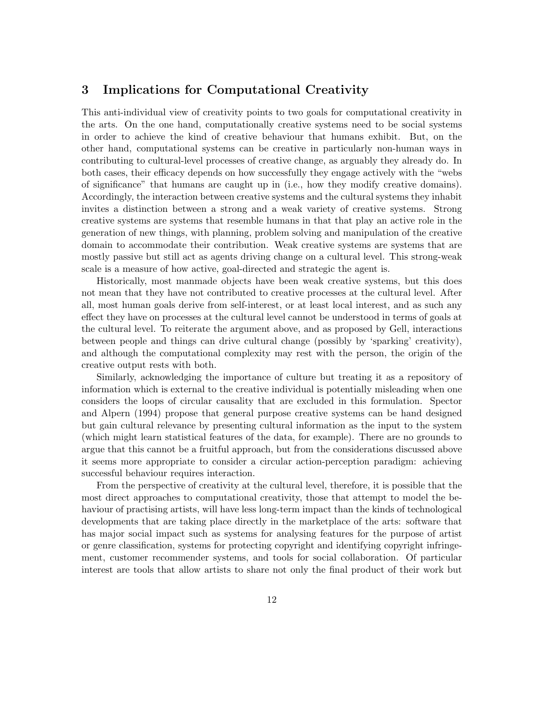## 3 Implications for Computational Creativity

This anti-individual view of creativity points to two goals for computational creativity in the arts. On the one hand, computationally creative systems need to be social systems in order to achieve the kind of creative behaviour that humans exhibit. But, on the other hand, computational systems can be creative in particularly non-human ways in contributing to cultural-level processes of creative change, as arguably they already do. In both cases, their efficacy depends on how successfully they engage actively with the "webs of significance" that humans are caught up in (i.e., how they modify creative domains). Accordingly, the interaction between creative systems and the cultural systems they inhabit invites a distinction between a strong and a weak variety of creative systems. Strong creative systems are systems that resemble humans in that that play an active role in the generation of new things, with planning, problem solving and manipulation of the creative domain to accommodate their contribution. Weak creative systems are systems that are mostly passive but still act as agents driving change on a cultural level. This strong-weak scale is a measure of how active, goal-directed and strategic the agent is.

Historically, most manmade objects have been weak creative systems, but this does not mean that they have not contributed to creative processes at the cultural level. After all, most human goals derive from self-interest, or at least local interest, and as such any effect they have on processes at the cultural level cannot be understood in terms of goals at the cultural level. To reiterate the argument above, and as proposed by Gell, interactions between people and things can drive cultural change (possibly by 'sparking' creativity), and although the computational complexity may rest with the person, the origin of the creative output rests with both.

Similarly, acknowledging the importance of culture but treating it as a repository of information which is external to the creative individual is potentially misleading when one considers the loops of circular causality that are excluded in this formulation. Spector and Alpern (1994) propose that general purpose creative systems can be hand designed but gain cultural relevance by presenting cultural information as the input to the system (which might learn statistical features of the data, for example). There are no grounds to argue that this cannot be a fruitful approach, but from the considerations discussed above it seems more appropriate to consider a circular action-perception paradigm: achieving successful behaviour requires interaction.

From the perspective of creativity at the cultural level, therefore, it is possible that the most direct approaches to computational creativity, those that attempt to model the behaviour of practising artists, will have less long-term impact than the kinds of technological developments that are taking place directly in the marketplace of the arts: software that has major social impact such as systems for analysing features for the purpose of artist or genre classification, systems for protecting copyright and identifying copyright infringement, customer recommender systems, and tools for social collaboration. Of particular interest are tools that allow artists to share not only the final product of their work but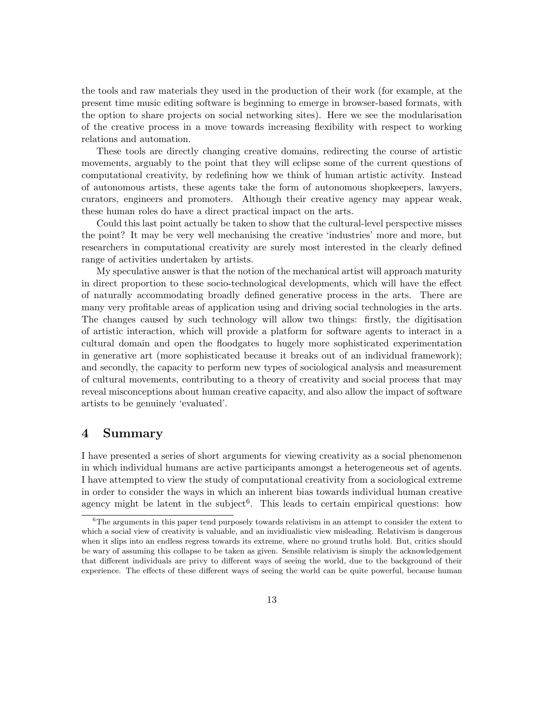the tools and raw materials they used in the production of their work (for example, at the present time music editing software is beginning to emerge in browser-based formats, with the option to share projects on social networking sites). Here we see the modularisation of the creative process in a move towards increasing flexibility with respect to working relations and automation.

These tools are directly changing creative domains, redirecting the course of artistic movements, arguably to the point that they will eclipse some of the current questions of computational creativity, by redefining how we think of human artistic activity. Instead of autonomous artists, these agents take the form of autonomous shopkeepers, lawyers, curators, engineers and promoters. Although their creative agency may appear weak, these human roles do have a direct practical impact on the arts.

Could this last point actually be taken to show that the cultural-level perspective misses the point? It may be very well mechanising the creative 'industries' more and more, but researchers in computational creativity are surely most interested in the clearly defined range of activities undertaken by artists.

My speculative answer is that the notion of the mechanical artist will approach maturity in direct proportion to these socio-technological developments, which will have the effect of naturally accommodating broadly defined generative process in the arts. There are many very profitable areas of application using and driving social technologies in the arts. The changes caused by such technology will allow two things: firstly, the digitisation of artistic interaction, which will provide a platform for software agents to interact in a cultural domain and open the floodgates to hugely more sophisticated experimentation in generative art (more sophisticated because it breaks out of an individual framework); and secondly, the capacity to perform new types of sociological analysis and measurement of cultural movements, contributing to a theory of creativity and social process that may reveal misconceptions about human creative capacity, and also allow the impact of software artists to be genuinely 'evaluated'.

## 4 Summary

I have presented a series of short arguments for viewing creativity as a social phenomenon in which individual humans are active participants amongst a heterogeneous set of agents. I have attempted to view the study of computational creativity from a sociological extreme in order to consider the ways in which an inherent bias towards individual human creative agency might be latent in the subject<sup>6</sup>. This leads to certain empirical questions: how

<sup>&</sup>lt;sup>6</sup>The arguments in this paper tend purposely towards relativism in an attempt to consider the extent to which a social view of creativity is valuable, and an invidiualistic view misleading. Relativism is dangerous when it slips into an endless regress towards its extreme, where no ground truths hold. But, critics should be wary of assuming this collapse to be taken as given. Sensible relativism is simply the acknowledgement that different individuals are privy to different ways of seeing the world, due to the background of their experience. The effects of these different ways of seeing the world can be quite powerful, because human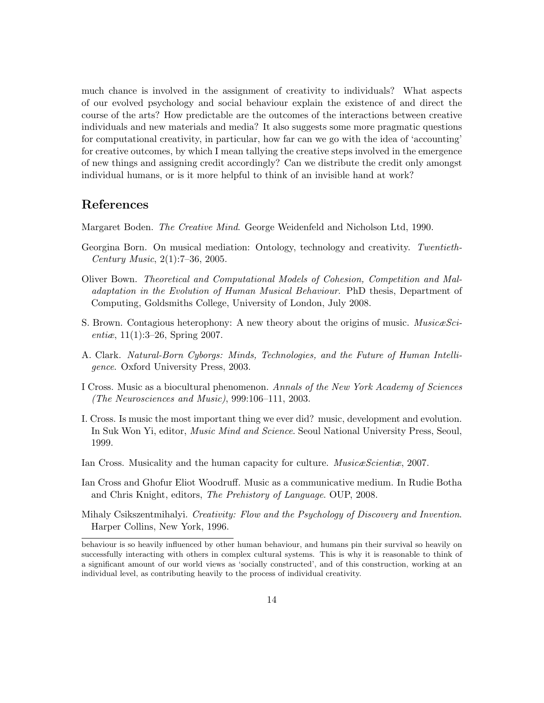much chance is involved in the assignment of creativity to individuals? What aspects of our evolved psychology and social behaviour explain the existence of and direct the course of the arts? How predictable are the outcomes of the interactions between creative individuals and new materials and media? It also suggests some more pragmatic questions for computational creativity, in particular, how far can we go with the idea of 'accounting' for creative outcomes, by which I mean tallying the creative steps involved in the emergence of new things and assigning credit accordingly? Can we distribute the credit only amongst individual humans, or is it more helpful to think of an invisible hand at work?

## References

Margaret Boden. The Creative Mind. George Weidenfeld and Nicholson Ltd, 1990.

- Georgina Born. On musical mediation: Ontology, technology and creativity. Twentieth-Century Music, 2(1):7–36, 2005.
- Oliver Bown. Theoretical and Computational Models of Cohesion, Competition and Maladaptation in the Evolution of Human Musical Behaviour. PhD thesis, Department of Computing, Goldsmiths College, University of London, July 2008.
- S. Brown. Contagious heterophony: A new theory about the origins of music. Musica Scientiæ,  $11(1):3-26$ , Spring 2007.
- A. Clark. Natural-Born Cyborgs: Minds, Technologies, and the Future of Human Intelligence. Oxford University Press, 2003.
- I Cross. Music as a biocultural phenomenon. Annals of the New York Academy of Sciences (The Neurosciences and Music), 999:106–111, 2003.
- I. Cross. Is music the most important thing we ever did? music, development and evolution. In Suk Won Yi, editor, Music Mind and Science. Seoul National University Press, Seoul, 1999.
- Ian Cross. Musicality and the human capacity for culture. *Musica Scientia*, 2007.
- Ian Cross and Ghofur Eliot Woodruff. Music as a communicative medium. In Rudie Botha and Chris Knight, editors, The Prehistory of Language. OUP, 2008.
- Mihaly Csikszentmihalyi. Creativity: Flow and the Psychology of Discovery and Invention. Harper Collins, New York, 1996.

behaviour is so heavily influenced by other human behaviour, and humans pin their survival so heavily on successfully interacting with others in complex cultural systems. This is why it is reasonable to think of a significant amount of our world views as 'socially constructed', and of this construction, working at an individual level, as contributing heavily to the process of individual creativity.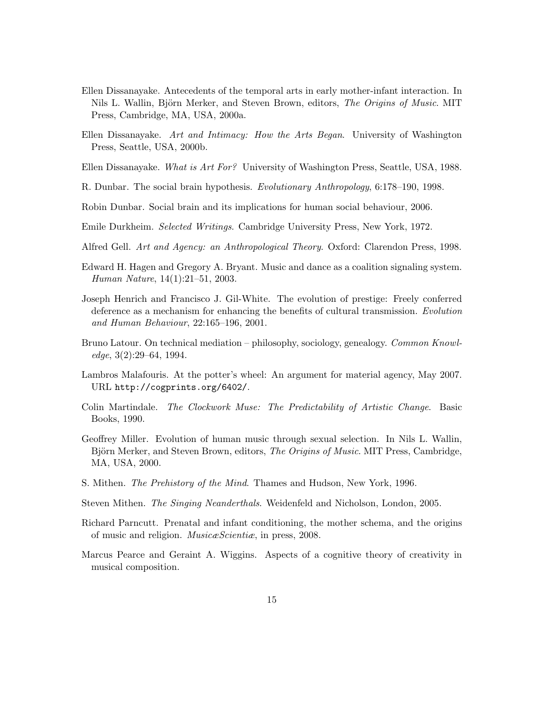- Ellen Dissanayake. Antecedents of the temporal arts in early mother-infant interaction. In Nils L. Wallin, Björn Merker, and Steven Brown, editors, *The Origins of Music*. MIT Press, Cambridge, MA, USA, 2000a.
- Ellen Dissanayake. Art and Intimacy: How the Arts Began. University of Washington Press, Seattle, USA, 2000b.
- Ellen Dissanayake. What is Art For? University of Washington Press, Seattle, USA, 1988.
- R. Dunbar. The social brain hypothesis. Evolutionary Anthropology, 6:178–190, 1998.
- Robin Dunbar. Social brain and its implications for human social behaviour, 2006.
- Emile Durkheim. Selected Writings. Cambridge University Press, New York, 1972.
- Alfred Gell. Art and Agency: an Anthropological Theory. Oxford: Clarendon Press, 1998.
- Edward H. Hagen and Gregory A. Bryant. Music and dance as a coalition signaling system. Human Nature, 14(1):21–51, 2003.
- Joseph Henrich and Francisco J. Gil-White. The evolution of prestige: Freely conferred deference as a mechanism for enhancing the benefits of cultural transmission. Evolution and Human Behaviour, 22:165–196, 2001.
- Bruno Latour. On technical mediation philosophy, sociology, genealogy. Common Knowledge, 3(2):29–64, 1994.
- Lambros Malafouris. At the potter's wheel: An argument for material agency, May 2007. URL http://cogprints.org/6402/.
- Colin Martindale. The Clockwork Muse: The Predictability of Artistic Change. Basic Books, 1990.
- Geoffrey Miller. Evolution of human music through sexual selection. In Nils L. Wallin, Björn Merker, and Steven Brown, editors, *The Origins of Music*. MIT Press, Cambridge, MA, USA, 2000.
- S. Mithen. The Prehistory of the Mind. Thames and Hudson, New York, 1996.
- Steven Mithen. The Singing Neanderthals. Weidenfeld and Nicholson, London, 2005.
- Richard Parncutt. Prenatal and infant conditioning, the mother schema, and the origins of music and religion. MusicæScientiæ, in press, 2008.
- Marcus Pearce and Geraint A. Wiggins. Aspects of a cognitive theory of creativity in musical composition.